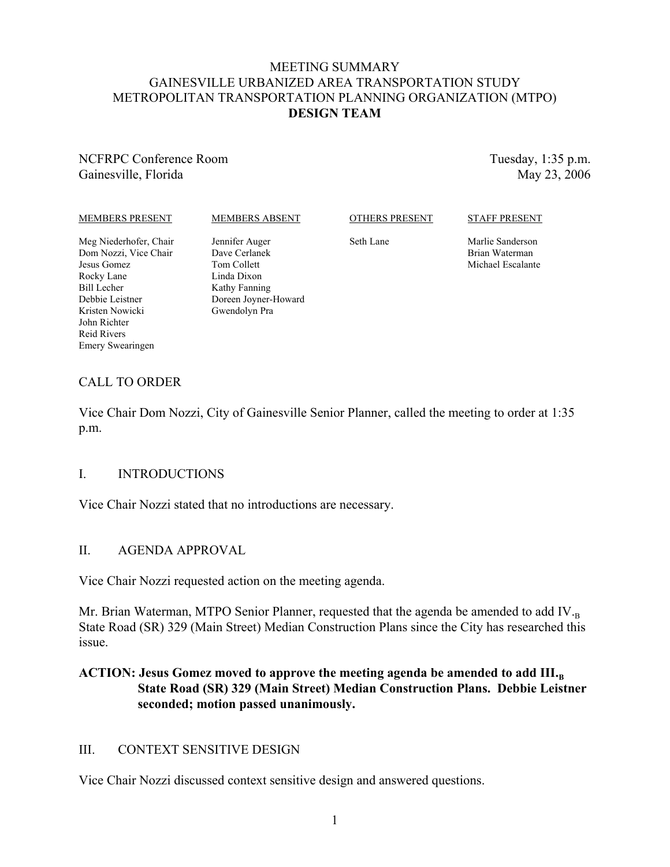#### MEETING SUMMARY GAINESVILLE URBANIZED AREA TRANSPORTATION STUDY METROPOLITAN TRANSPORTATION PLANNING ORGANIZATION (MTPO) **DESIGN TEAM**

### NCFRPC Conference Room Gainesville, Florida

Tuesday, 1:35 p.m. May 23, 2006

#### MEMBERS PRESENT

#### MEMBERS ABSENT

OTHERS PRESENT

#### STAFF PRESENT

Meg Niederhofer, Chair Dom Nozzi, Vice Chair Jesus Gomez Rocky Lane Bill Lecher Debbie Leistner Kristen Nowicki John Richter Reid Rivers Emery Swearingen

Jennifer Auger Dave Cerlanek Tom Collett Linda Dixon Kathy Fanning Doreen Joyner-Howard Gwendolyn Pra

Seth Lane

Marlie Sanderson Brian Waterman Michael Escalante

# CALL TO ORDER

Vice Chair Dom Nozzi, City of Gainesville Senior Planner, called the meeting to order at 1:35 p.m.

#### I. INTRODUCTIONS

Vice Chair Nozzi stated that no introductions are necessary.

#### II. AGENDA APPROVAL

Vice Chair Nozzi requested action on the meeting agenda.

Mr. Brian Waterman, MTPO Senior Planner, requested that the agenda be amended to add IV. $_B$ State Road (SR) 329 (Main Street) Median Construction Plans since the City has researched this issue.

## ACTION: Jesus Gomez moved to approve the meeting agenda be amended to add III.<sub>B</sub> **State Road (SR) 329 (Main Street) Median Construction Plans. Debbie Leistner seconded; motion passed unanimously.**

## III. CONTEXT SENSITIVE DESIGN

Vice Chair Nozzi discussed context sensitive design and answered questions.